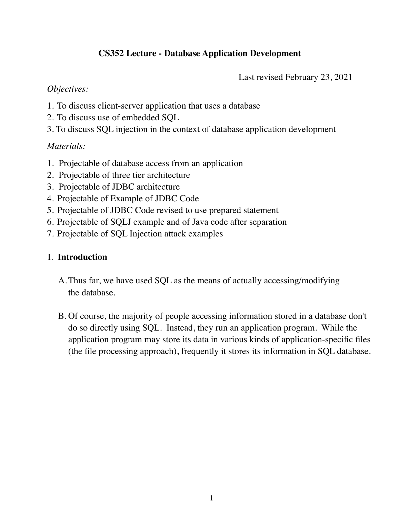# **CS352 Lecture - Database Application Development**

Last revised February 23, 2021

#### *Objectives:*

- 1. To discuss client-server application that uses a database
- 2. To discuss use of embedded SQL
- 3. To discuss SQL injection in the context of database application development

### *Materials:*

- 1. Projectable of database access from an application
- 2. Projectable of three tier architecture
- 3. Projectable of JDBC architecture
- 4. Projectable of Example of JDBC Code
- 5. Projectable of JDBC Code revised to use prepared statement
- 6. Projectable of SQLJ example and of Java code after separation
- 7. Projectable of SQL Injection attack examples

#### I. **Introduction**

- A.Thus far, we have used SQL as the means of actually accessing/modifying the database.
- B. Of course, the majority of people accessing information stored in a database don't do so directly using SQL. Instead, they run an application program. While the application program may store its data in various kinds of application-specific files (the file processing approach), frequently it stores its information in SQL database.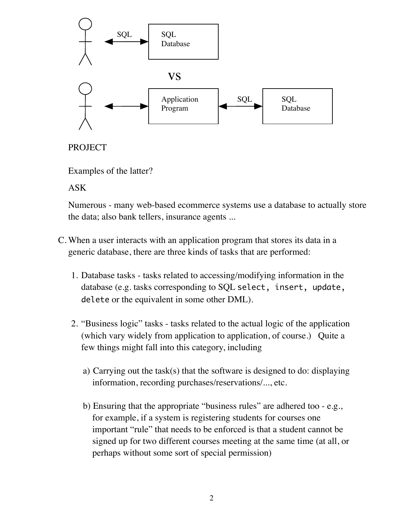

## PROJECT

Examples of the latter?

ASK

Numerous - many web-based ecommerce systems use a database to actually store the data; also bank tellers, insurance agents ...

- C. When a user interacts with an application program that stores its data in a generic database, there are three kinds of tasks that are performed:
	- 1. Database tasks tasks related to accessing/modifying information in the database (e.g. tasks corresponding to SQL select, insert, update, delete or the equivalent in some other DML).
	- 2. "Business logic" tasks tasks related to the actual logic of the application (which vary widely from application to application, of course.) Quite a few things might fall into this category, including
		- a) Carrying out the task(s) that the software is designed to do: displaying information, recording purchases/reservations/..., etc.
		- b) Ensuring that the appropriate "business rules" are adhered too e.g., for example, if a system is registering students for courses one important "rule" that needs to be enforced is that a student cannot be signed up for two different courses meeting at the same time (at all, or perhaps without some sort of special permission)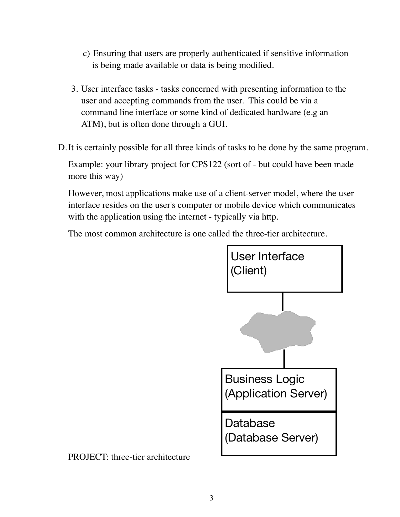- c) Ensuring that users are properly authenticated if sensitive information is being made available or data is being modified.
- 3. User interface tasks tasks concerned with presenting information to the user and accepting commands from the user. This could be via a command line interface or some kind of dedicated hardware (e.g an ATM), but is often done through a GUI.
- D.It is certainly possible for all three kinds of tasks to be done by the same program.

Example: your library project for CPS122 (sort of - but could have been made more this way)

However, most applications make use of a client-server model, where the user interface resides on the user's computer or mobile device which communicates with the application using the internet - typically via http.

The most common architecture is one called the three-tier architecture.



PROJECT: three-tier architecture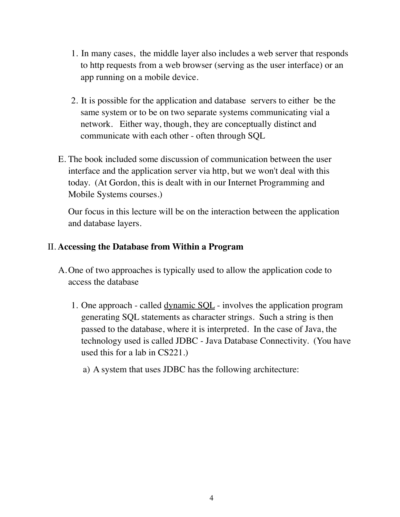- 1. In many cases, the middle layer also includes a web server that responds to http requests from a web browser (serving as the user interface) or an app running on a mobile device.
- 2. It is possible for the application and database servers to either be the same system or to be on two separate systems communicating vial a network. Either way, though, they are conceptually distinct and communicate with each other - often through SQL
- E. The book included some discussion of communication between the user interface and the application server via http, but we won't deal with this today. (At Gordon, this is dealt with in our Internet Programming and Mobile Systems courses.)

Our focus in this lecture will be on the interaction between the application and database layers.

### II. **Accessing the Database from Within a Program**

- A.One of two approaches is typically used to allow the application code to access the database
	- 1. One approach called <u>dynamic SQL</u> involves the application program generating SQL statements as character strings. Such a string is then passed to the database, where it is interpreted. In the case of Java, the technology used is called JDBC - Java Database Connectivity. (You have used this for a lab in CS221.)
		- a) A system that uses JDBC has the following architecture: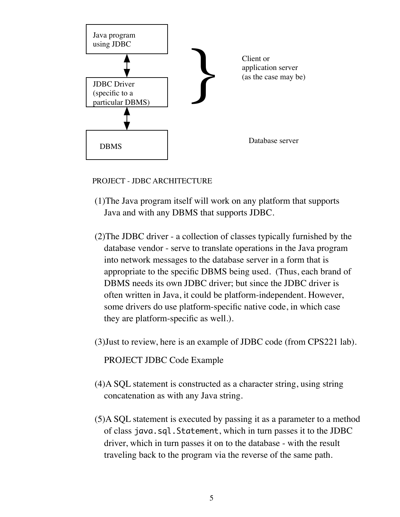

PROJECT - JDBC ARCHITECTURE

- (1)The Java program itself will work on any platform that supports Java and with any DBMS that supports JDBC.
- (2)The JDBC driver a collection of classes typically furnished by the database vendor - serve to translate operations in the Java program into network messages to the database server in a form that is appropriate to the specific DBMS being used. (Thus, each brand of DBMS needs its own JDBC driver; but since the JDBC driver is often written in Java, it could be platform-independent. However, some drivers do use platform-specific native code, in which case they are platform-specific as well.).
- (3)Just to review, here is an example of JDBC code (from CPS221 lab).

PROJECT JDBC Code Example

- (4)A SQL statement is constructed as a character string, using string concatenation as with any Java string.
- (5)A SQL statement is executed by passing it as a parameter to a method of class java.sql.Statement, which in turn passes it to the JDBC driver, which in turn passes it on to the database - with the result traveling back to the program via the reverse of the same path.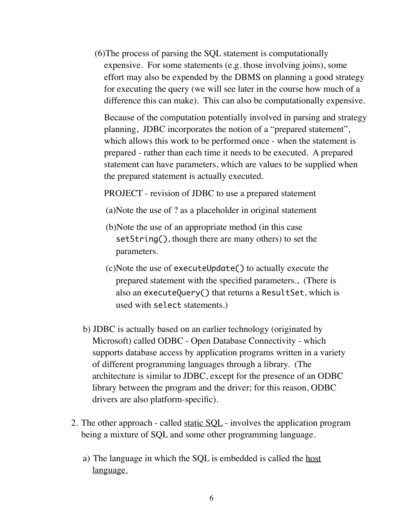(6)The process of parsing the SQL statement is computationally expensive. For some statements (e.g. those involving joins), some effort may also be expended by the DBMS on planning a good strategy for executing the query (we will see later in the course how much of a difference this can make). This can also be computationally expensive.

Because of the computation potentially involved in parsing and strategy planning, JDBC incorporates the notion of a "prepared statement", which allows this work to be performed once - when the statement is prepared - rather than each time it needs to be executed. A prepared statement can have parameters, which are values to be supplied when the prepared statement is actually executed.

PROJECT - revision of JDBC to use a prepared statement

- (a)Note the use of ? as a placeholder in original statement
- (b)Note the use of an appropriate method (in this case setString(), though there are many others) to set the parameters.
- (c)Note the use of executeUpdate() to actually execute the prepared statement with the specified parameters., (There is also an executeQuery() that returns a ResultSet, which is used with select statements.)
- b) JDBC is actually based on an earlier technology (originated by Microsoft) called ODBC - Open Database Connectivity - which supports database access by application programs written in a variety of different programming languages through a library. (The architecture is similar to JDBC, except for the presence of an ODBC library between the program and the driver; for this reason, ODBC drivers are also platform-specific).
- 2. The other approach called static SQL involves the application program being a mixture of SQL and some other programming language.
	- a) The language in which the SQL is embedded is called the host language.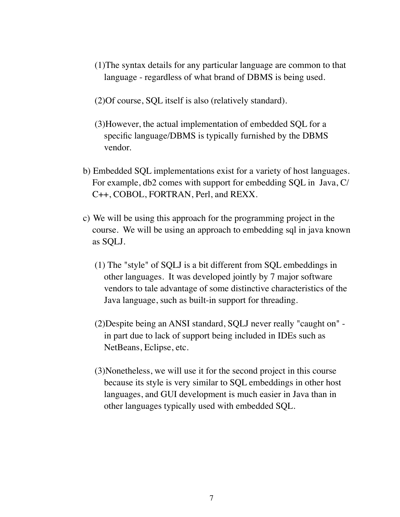- (1)The syntax details for any particular language are common to that language - regardless of what brand of DBMS is being used.
- (2)Of course, SQL itself is also (relatively standard).
- (3)However, the actual implementation of embedded SQL for a specific language/DBMS is typically furnished by the DBMS vendor.
- b) Embedded SQL implementations exist for a variety of host languages. For example, db2 comes with support for embedding SQL in Java, C/ C++, COBOL, FORTRAN, Perl, and REXX.
- c) We will be using this approach for the programming project in the course. We will be using an approach to embedding sql in java known as SQLJ.
	- (1) The "style" of SQLJ is a bit different from SQL embeddings in other languages. It was developed jointly by 7 major software vendors to tale advantage of some distinctive characteristics of the Java language, such as built-in support for threading.
	- (2)Despite being an ANSI standard, SQLJ never really "caught on" in part due to lack of support being included in IDEs such as NetBeans, Eclipse, etc.
	- (3)Nonetheless, we will use it for the second project in this course because its style is very similar to SQL embeddings in other host languages, and GUI development is much easier in Java than in other languages typically used with embedded SQL.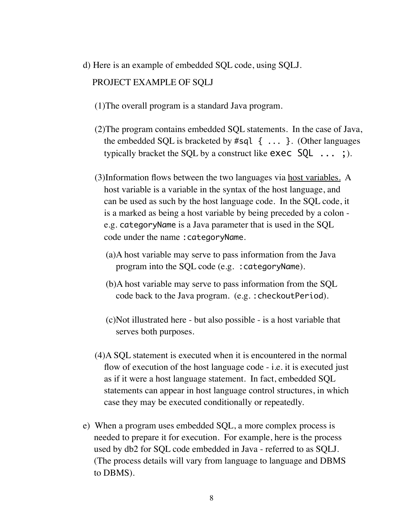- d) Here is an example of embedded SQL code, using SQLJ. PROJECT EXAMPLE OF SQLJ
	- (1)The overall program is a standard Java program.
	- (2)The program contains embedded SQL statements. In the case of Java, the embedded SQL is bracketed by  $\#$ sql  $\{ \ldots \}$ . (Other languages typically bracket the SQL by a construct like  $exec$   $SQL$   $\ldots$  ;).
	- (3)Information flows between the two languages via host variables. A host variable is a variable in the syntax of the host language, and can be used as such by the host language code. In the SQL code, it is a marked as being a host variable by being preceded by a colon e.g. categoryName is a Java parameter that is used in the SQL code under the name :categoryName.
		- (a)A host variable may serve to pass information from the Java program into the SQL code (e.g. :categoryName).
		- (b)A host variable may serve to pass information from the SQL code back to the Java program. (e.g. :checkoutPeriod).
		- (c)Not illustrated here but also possible is a host variable that serves both purposes.
	- (4)A SQL statement is executed when it is encountered in the normal flow of execution of the host language code - i.e. it is executed just as if it were a host language statement. In fact, embedded SQL statements can appear in host language control structures, in which case they may be executed conditionally or repeatedly.
- e) When a program uses embedded SQL, a more complex process is needed to prepare it for execution. For example, here is the process used by db2 for SQL code embedded in Java - referred to as SQLJ. (The process details will vary from language to language and DBMS to DBMS).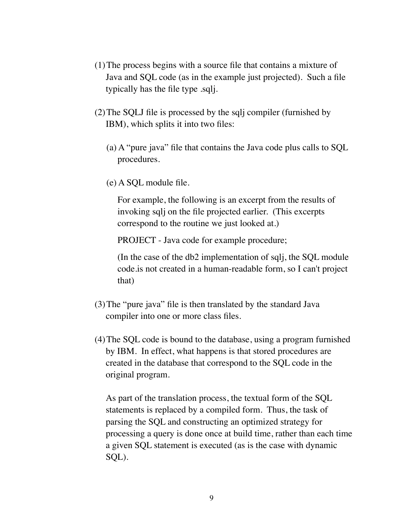- (1)The process begins with a source file that contains a mixture of Java and SQL code (as in the example just projected). Such a file typically has the file type .sqlj.
- (2)The SQLJ file is processed by the sqlj compiler (furnished by IBM), which splits it into two files:
	- (a) A "pure java" file that contains the Java code plus calls to SQL procedures.
	- (e) A SQL module file.

For example, the following is an excerpt from the results of invoking sqlj on the file projected earlier. (This excerpts correspond to the routine we just looked at.)

PROJECT - Java code for example procedure;

(In the case of the db2 implementation of sqlj, the SQL module code.is not created in a human-readable form, so I can't project that)

- (3)The "pure java" file is then translated by the standard Java compiler into one or more class files.
- (4)The SQL code is bound to the database, using a program furnished by IBM. In effect, what happens is that stored procedures are created in the database that correspond to the SQL code in the original program.

As part of the translation process, the textual form of the SQL statements is replaced by a compiled form. Thus, the task of parsing the SQL and constructing an optimized strategy for processing a query is done once at build time, rather than each time a given SQL statement is executed (as is the case with dynamic SQL).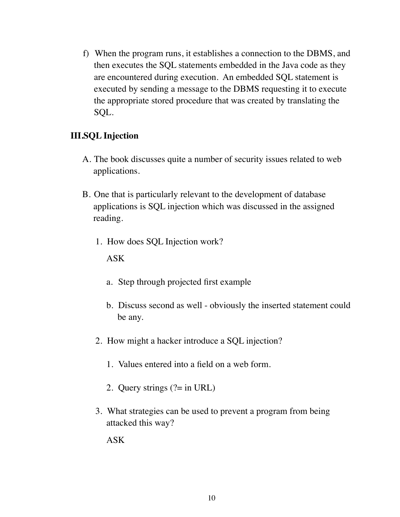f) When the program runs, it establishes a connection to the DBMS, and then executes the SQL statements embedded in the Java code as they are encountered during execution. An embedded SQL statement is executed by sending a message to the DBMS requesting it to execute the appropriate stored procedure that was created by translating the SQL.

### **III.SQL Injection**

- A. The book discusses quite a number of security issues related to web applications.
- B. One that is particularly relevant to the development of database applications is SQL injection which was discussed in the assigned reading.
	- 1. How does SQL Injection work?

ASK

- a. Step through projected first example
- b. Discuss second as well obviously the inserted statement could be any.
- 2. How might a hacker introduce a SQL injection?
	- 1. Values entered into a field on a web form.
	- 2. Query strings (?= in URL)
- 3. What strategies can be used to prevent a program from being attacked this way?

ASK